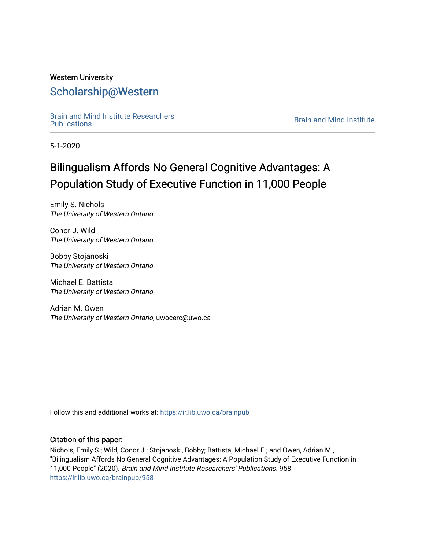## Western University [Scholarship@Western](https://ir.lib.uwo.ca/)

[Brain and Mind Institute Researchers'](https://ir.lib.uwo.ca/brainpub) 

**Brain and Mind Institute** 

5-1-2020

# Bilingualism Affords No General Cognitive Advantages: A Population Study of Executive Function in 11,000 People

Emily S. Nichols The University of Western Ontario

Conor J. Wild The University of Western Ontario

Bobby Stojanoski The University of Western Ontario

Michael E. Battista The University of Western Ontario

Adrian M. Owen The University of Western Ontario, uwocerc@uwo.ca

Follow this and additional works at: [https://ir.lib.uwo.ca/brainpub](https://ir.lib.uwo.ca/brainpub?utm_source=ir.lib.uwo.ca%2Fbrainpub%2F958&utm_medium=PDF&utm_campaign=PDFCoverPages)

## Citation of this paper:

Nichols, Emily S.; Wild, Conor J.; Stojanoski, Bobby; Battista, Michael E.; and Owen, Adrian M., "Bilingualism Affords No General Cognitive Advantages: A Population Study of Executive Function in 11,000 People" (2020). Brain and Mind Institute Researchers' Publications. 958. [https://ir.lib.uwo.ca/brainpub/958](https://ir.lib.uwo.ca/brainpub/958?utm_source=ir.lib.uwo.ca%2Fbrainpub%2F958&utm_medium=PDF&utm_campaign=PDFCoverPages)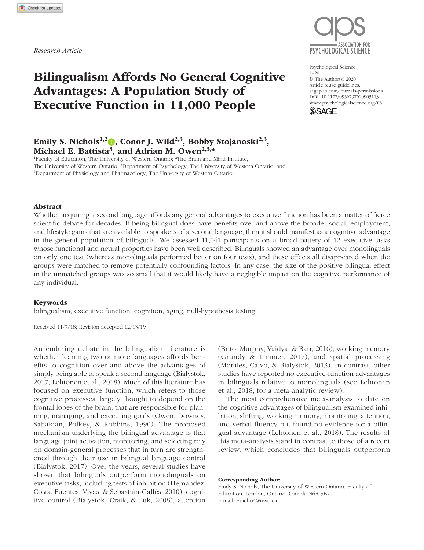

## Bilingualism Affords No General Cognitive Advantages: A Population Study of Executive Function in 11,000 People

## Emily S. Nichols<sup>1,2</sup> $\bullet$ , Conor J. Wild<sup>2,3</sup>, Bobby Stojanoski<sup>2,3</sup>, Michael E. Battista<sup>3</sup>, and Adrian M. Owen<sup>2,3,4</sup>

<sup>1</sup>Faculty of Education, The University of Western Ontario; <sup>2</sup>The Brain and Mind Institute, The University of Western Ontario; <sup>3</sup>Department of Psychology, The University of Western Ontario; and 4Department of Physiology and Pharmacology. The University of Western Ontario. Department of Physiology and Pharmacology, The University of Western Ontario

Psychological Science 1–20 © The Author(s) 2020 Article reuse guidelines: [sagepub.com/journals-permissions](https://us.sagepub.com/en-us/journals-permissions) https://doi.org/10.1177/0956797620903113 DOI: 10.1177/0956797620903113 [www.psychologicalscience.org/PS](http://www.psychologicalscience.org/ps) **SSAGE** 



Whether acquiring a second language affords any general advantages to executive function has been a matter of fierce scientific debate for decades. If being bilingual does have benefits over and above the broader social, employment, and lifestyle gains that are available to speakers of a second language, then it should manifest as a cognitive advantage in the general population of bilinguals. We assessed 11,041 participants on a broad battery of 12 executive tasks whose functional and neural properties have been well described. Bilinguals showed an advantage over monolinguals on only one test (whereas monolinguals performed better on four tests), and these effects all disappeared when the groups were matched to remove potentially confounding factors. In any case, the size of the positive bilingual effect in the unmatched groups was so small that it would likely have a negligible impact on the cognitive performance of any individual.

#### Keywords

bilingualism, executive function, cognition, aging, null-hypothesis testing

Received 11/7/18; Revision accepted 12/13/19

An enduring debate in the bilingualism literature is whether learning two or more languages affords benefits to cognition over and above the advantages of simply being able to speak a second language (Bialystok, 2017; Lehtonen et al., 2018). Much of this literature has focused on executive function, which refers to those cognitive processes, largely thought to depend on the frontal lobes of the brain, that are responsible for planning, managing, and executing goals (Owen, Downes, Sahakian, Polkey, & Robbins, 1990). The proposed mechanism underlying the bilingual advantage is that language joint activation, monitoring, and selecting rely on domain-general processes that in turn are strengthened through their use in bilingual language control (Bialystok, 2017). Over the years, several studies have shown that bilinguals outperform monolinguals on executive tasks, including tests of inhibition (Hernández, Costa, Fuentes, Vivas, & Sebastián-Gallés, 2010), cognitive control (Bialystok, Craik, & Luk, 2008), attention

(Brito, Murphy, Vaidya, & Barr, 2016), working memory (Grundy & Timmer, 2017), and spatial processing (Morales, Calvo, & Bialystok, 2013). In contrast, other studies have reported no executive-function advantages in bilinguals relative to monolinguals (see Lehtonen et al., 2018, for a meta-analytic review).

The most comprehensive meta-analysis to date on the cognitive advantages of bilingualism examined inhibition, shifting, working memory, monitoring, attention, and verbal fluency but found no evidence for a bilingual advantage (Lehtonen et al., 2018). The results of this meta-analysis stand in contrast to those of a recent review, which concludes that bilinguals outperform

Corresponding Author:

Emily S. Nichols, The University of Western Ontario, Faculty of Education, London, Ontario, Canada N6A 5B7 E-mail: [enicho4@uwo.ca](mailto:enicho4@uwo.ca)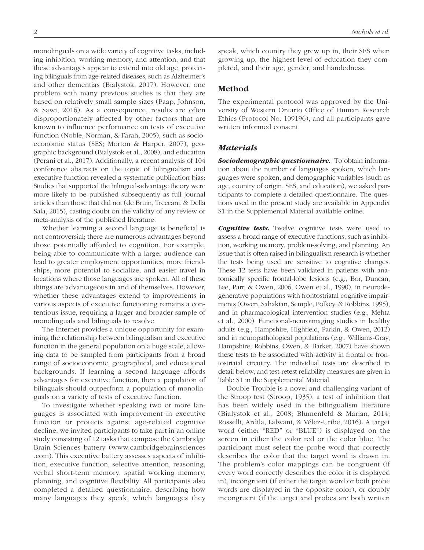monolinguals on a wide variety of cognitive tasks, including inhibition, working memory, and attention, and that these advantages appear to extend into old age, protecting bilinguals from age-related diseases, such as Alzheimer's and other dementias (Bialystok, 2017). However, one problem with many previous studies is that they are based on relatively small sample sizes (Paap, Johnson, & Sawi, 2016). As a consequence, results are often disproportionately affected by other factors that are known to influence performance on tests of executive function (Noble, Norman, & Farah, 2005), such as socioeconomic status (SES; Morton & Harper, 2007), geographic background (Bialystok et al., 2008), and education (Perani et al., 2017). Additionally, a recent analysis of 104 conference abstracts on the topic of bilingualism and executive function revealed a systematic publication bias: Studies that supported the bilingual-advantage theory were more likely to be published subsequently as full journal articles than those that did not (de Bruin, Treccani, & Della Sala, 2015), casting doubt on the validity of any review or meta-analysis of the published literature.

Whether learning a second language is beneficial is not controversial; there are numerous advantages beyond those potentially afforded to cognition. For example, being able to communicate with a larger audience can lead to greater employment opportunities, more friendships, more potential to socialize, and easier travel in locations where those languages are spoken. All of these things are advantageous in and of themselves. However, whether these advantages extend to improvements in various aspects of executive functioning remains a contentious issue, requiring a larger and broader sample of monolinguals and bilinguals to resolve.

The Internet provides a unique opportunity for examining the relationship between bilingualism and executive function in the general population on a huge scale, allowing data to be sampled from participants from a broad range of socioeconomic, geographical, and educational backgrounds. If learning a second language affords advantages for executive function, then a population of bilinguals should outperform a population of monolinguals on a variety of tests of executive function.

To investigate whether speaking two or more languages is associated with improvement in executive function or protects against age-related cognitive decline, we invited participants to take part in an online study consisting of 12 tasks that compose the Cambridge Brain Sciences battery ([www.cambridgebrainsciences](www.cambridgebrainsciences.com) [.com\)](www.cambridgebrainsciences.com). This executive battery assesses aspects of inhibition, executive function, selective attention, reasoning, verbal short-term memory, spatial working memory, planning, and cognitive flexibility. All participants also completed a detailed questionnaire, describing how many languages they speak, which languages they speak, which country they grew up in, their SES when growing up, the highest level of education they completed, and their age, gender, and handedness.

## Method

The experimental protocol was approved by the University of Western Ontario Office of Human Research Ethics (Protocol No. 109196), and all participants gave written informed consent.

## *Materials*

*Sociodemographic questionnaire.* To obtain information about the number of languages spoken, which languages were spoken, and demographic variables (such as age, country of origin, SES, and education), we asked participants to complete a detailed questionnaire. The questions used in the present study are available in Appendix S1 in the Supplemental Material available online.

*Cognitive tests.* Twelve cognitive tests were used to assess a broad range of executive functions, such as inhibition, working memory, problem-solving, and planning. An issue that is often raised in bilingualism research is whether the tests being used are sensitive to cognitive changes. These 12 tests have been validated in patients with anatomically specific frontal-lobe lesions (e.g., Bor, Duncan, Lee, Parr, & Owen, 2006; Owen et al., 1990), in neurodegenerative populations with frontostriatal cognitive impairments (Owen, Sahakian, Semple, Polkey, & Robbins, 1995), and in pharmacological intervention studies (e.g., Mehta et al., 2000). Functional-neuroimaging studies in healthy adults (e.g., Hampshire, Highfield, Parkin, & Owen, 2012) and in neuropathological populations (e.g., Williams-Gray, Hampshire, Robbins, Owen, & Barker, 2007) have shown these tests to be associated with activity in frontal or frontostriatal circuitry. The individual tests are described in detail below, and test-retest reliability measures are given in Table S1 in the Supplemental Material.

Double Trouble is a novel and challenging variant of the Stroop test (Stroop, 1935), a test of inhibition that has been widely used in the bilingualism literature (Bialystok et al., 2008; Blumenfeld & Marian, 2014; Rosselli, Ardila, Lalwani, & Vélez-Uribe, 2016). A target word (either "RED" or "BLUE") is displayed on the screen in either the color red or the color blue. The participant must select the probe word that correctly describes the color that the target word is drawn in. The problem's color mappings can be congruent (if every word correctly describes the color it is displayed in), incongruent (if either the target word or both probe words are displayed in the opposite color), or doubly incongruent (if the target and probes are both written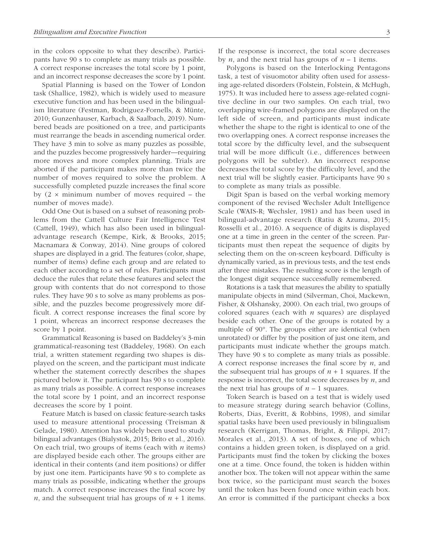in the colors opposite to what they describe). Participants have 90 s to complete as many trials as possible. A correct response increases the total score by 1 point, and an incorrect response decreases the score by 1 point.

Spatial Planning is based on the Tower of London task (Shallice, 1982), which is widely used to measure executive function and has been used in the bilingualism literature (Festman, Rodriguez-Fornells, & Münte, 2010; Gunzenhauser, Karbach, & Saalbach, 2019). Numbered beads are positioned on a tree, and participants must rearrange the beads in ascending numerical order. They have 3 min to solve as many puzzles as possible, and the puzzles become progressively harder—requiring more moves and more complex planning. Trials are aborted if the participant makes more than twice the number of moves required to solve the problem. A successfully completed puzzle increases the final score by  $(2 \times \text{minimum number of moves required - the})$ number of moves made).

Odd One Out is based on a subset of reasoning problems from the Cattell Culture Fair Intelligence Test (Cattell, 1949), which has also been used in bilingualadvantage research (Kempe, Kirk, & Brooks, 2015; Macnamara & Conway, 2014). Nine groups of colored shapes are displayed in a grid. The features (color, shape, number of items) define each group and are related to each other according to a set of rules. Participants must deduce the rules that relate these features and select the group with contents that do not correspond to those rules. They have 90 s to solve as many problems as possible, and the puzzles become progressively more difficult. A correct response increases the final score by 1 point, whereas an incorrect response decreases the score by 1 point.

Grammatical Reasoning is based on Baddeley's 3-min grammatical-reasoning test (Baddeley, 1968). On each trial, a written statement regarding two shapes is displayed on the screen, and the participant must indicate whether the statement correctly describes the shapes pictured below it. The participant has 90 s to complete as many trials as possible. A correct response increases the total score by 1 point, and an incorrect response decreases the score by 1 point.

Feature Match is based on classic feature-search tasks used to measure attentional processing (Treisman & Gelade, 1980). Attention has widely been used to study bilingual advantages (Bialystok, 2015; Brito et al., 2016). On each trial, two groups of items (each with *n* items) are displayed beside each other. The groups either are identical in their contents (and item positions) or differ by just one item. Participants have 90 s to complete as many trials as possible, indicating whether the groups match. A correct response increases the final score by *n*, and the subsequent trial has groups of  $n + 1$  items. If the response is incorrect, the total score decreases by  $n$ , and the next trial has groups of  $n - 1$  items.

Polygons is based on the Interlocking Pentagons task, a test of visuomotor ability often used for assessing age-related disorders (Folstein, Folstein, & McHugh, 1975). It was included here to assess age-related cognitive decline in our two samples. On each trial, two overlapping wire-framed polygons are displayed on the left side of screen, and participants must indicate whether the shape to the right is identical to one of the two overlapping ones. A correct response increases the total score by the difficulty level, and the subsequent trial will be more difficult (i.e., differences between polygons will be subtler). An incorrect response decreases the total score by the difficulty level, and the next trial will be slightly easier. Participants have 90 s to complete as many trials as possible.

Digit Span is based on the verbal working memory component of the revised Wechsler Adult Intelligence Scale (WAIS-R; Wechsler, 1981) and has been used in bilingual-advantage research (Ratiu & Azuma, 2015; Rosselli et al., 2016). A sequence of digits is displayed one at a time in green in the center of the screen. Participants must then repeat the sequence of digits by selecting them on the on-screen keyboard. Difficulty is dynamically varied, as in previous tests, and the test ends after three mistakes. The resulting score is the length of the longest digit sequence successfully remembered.

Rotations is a task that measures the ability to spatially manipulate objects in mind (Silverman, Choi, Mackewn, Fisher, & Olshansky, 2000). On each trial, two groups of colored squares (each with *n* squares) are displayed beside each other. One of the groups is rotated by a multiple of 90°. The groups either are identical (when unrotated) or differ by the position of just one item, and participants must indicate whether the groups match. They have 90 s to complete as many trials as possible. A correct response increases the final score by *n*, and the subsequent trial has groups of  $n + 1$  squares. If the response is incorrect, the total score decreases by *n*, and the next trial has groups of  $n - 1$  squares.

Token Search is based on a test that is widely used to measure strategy during search behavior (Collins, Roberts, Dias, Everitt, & Robbins, 1998), and similar spatial tasks have been used previously in bilingualism research (Kerrigan, Thomas, Bright, & Filippi, 2017; Morales et al., 2013). A set of boxes, one of which contains a hidden green token, is displayed on a grid. Participants must find the token by clicking the boxes one at a time. Once found, the token is hidden within another box. The token will not appear within the same box twice, so the participant must search the boxes until the token has been found once within each box. An error is committed if the participant checks a box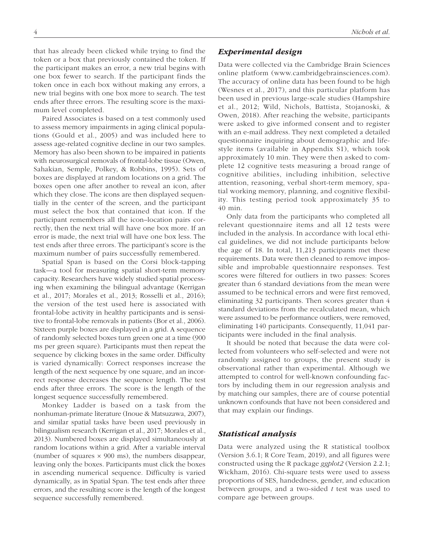that has already been clicked while trying to find the token or a box that previously contained the token. If the participant makes an error, a new trial begins with one box fewer to search. If the participant finds the token once in each box without making any errors, a new trial begins with one box more to search. The test ends after three errors. The resulting score is the maximum level completed.

Paired Associates is based on a test commonly used to assess memory impairments in aging clinical populations (Gould et al., 2005) and was included here to assess age-related cognitive decline in our two samples. Memory has also been shown to be impaired in patients with neurosurgical removals of frontal-lobe tissue (Owen, Sahakian, Semple, Polkey, & Robbins, 1995). Sets of boxes are displayed at random locations on a grid. The boxes open one after another to reveal an icon, after which they close. The icons are then displayed sequentially in the center of the screen, and the participant must select the box that contained that icon. If the participant remembers all the icon–location pairs correctly, then the next trial will have one box more. If an error is made, the next trial will have one box less. The test ends after three errors. The participant's score is the maximum number of pairs successfully remembered.

Spatial Span is based on the Corsi block-tapping task—a tool for measuring spatial short-term memory capacity. Researchers have widely studied spatial processing when examining the bilingual advantage (Kerrigan et al., 2017; Morales et al., 2013; Rosselli et al., 2016); the version of the test used here is associated with frontal-lobe activity in healthy participants and is sensitive to frontal-lobe removals in patients (Bor et al., 2006). Sixteen purple boxes are displayed in a grid. A sequence of randomly selected boxes turn green one at a time (900 ms per green square). Participants must then repeat the sequence by clicking boxes in the same order. Difficulty is varied dynamically: Correct responses increase the length of the next sequence by one square, and an incorrect response decreases the sequence length. The test ends after three errors. The score is the length of the longest sequence successfully remembered.

Monkey Ladder is based on a task from the nonhuman-primate literature (Inoue & Matsuzawa, 2007), and similar spatial tasks have been used previously in bilingualism research (Kerrigan et al., 2017; Morales et al., 2013). Numbered boxes are displayed simultaneously at random locations within a grid. After a variable interval (number of squares  $\times$  900 ms), the numbers disappear, leaving only the boxes. Participants must click the boxes in ascending numerical sequence. Difficulty is varied dynamically, as in Spatial Span. The test ends after three errors, and the resulting score is the length of the longest sequence successfully remembered.

## *Experimental design*

Data were collected via the Cambridge Brain Sciences online platform ([www.cambridgebrainsciences.com\)](www.cambridgebrainsciences.com). The accuracy of online data has been found to be high (Wesnes et al., 2017), and this particular platform has been used in previous large-scale studies (Hampshire et al., 2012; Wild, Nichols, Battista, Stojanoski, & Owen, 2018). After reaching the website, participants were asked to give informed consent and to register with an e-mail address. They next completed a detailed questionnaire inquiring about demographic and lifestyle items (available in Appendix S1), which took approximately 10 min. They were then asked to complete 12 cognitive tests measuring a broad range of cognitive abilities, including inhibition, selective attention, reasoning, verbal short-term memory, spatial working memory, planning, and cognitive flexibility. This testing period took approximately 35 to 40 min.

Only data from the participants who completed all relevant questionnaire items and all 12 tests were included in the analysis. In accordance with local ethical guidelines, we did not include participants below the age of 18. In total, 11,213 participants met these requirements. Data were then cleaned to remove impossible and improbable questionnaire responses. Test scores were filtered for outliers in two passes: Scores greater than 6 standard deviations from the mean were assumed to be technical errors and were first removed, eliminating 32 participants. Then scores greater than 4 standard deviations from the recalculated mean, which were assumed to be performance outliers, were removed, eliminating 140 participants. Consequently, 11,041 participants were included in the final analysis.

It should be noted that because the data were collected from volunteers who self-selected and were not randomly assigned to groups, the present study is observational rather than experimental. Although we attempted to control for well-known confounding factors by including them in our regression analysis and by matching our samples, there are of course potential unknown confounds that have not been considered and that may explain our findings.

## *Statistical analysis*

Data were analyzed using the R statistical toolbox (Version 3.6.1; R Core Team, 2019), and all figures were constructed using the R package *ggplot2* (Version 2.2.1; Wickham, 2016). Chi-square tests were used to assess proportions of SES, handedness, gender, and education between groups, and a two-sided *t* test was used to compare age between groups.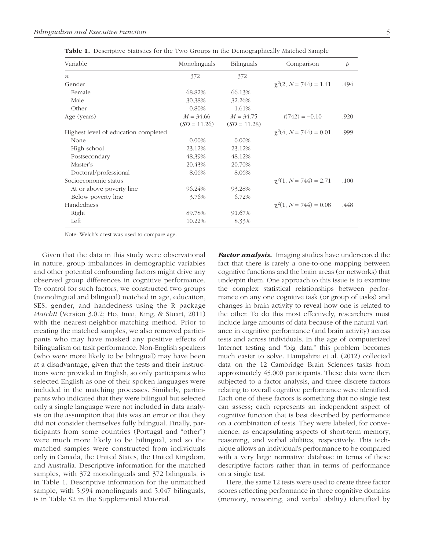| Variable                             | Monolinguals   | <b>Bilinguals</b> | Comparison                    | $\mathcal{P}$ |
|--------------------------------------|----------------|-------------------|-------------------------------|---------------|
| $\boldsymbol{n}$                     | 372            | 372               |                               |               |
| Gender                               |                |                   | $\chi^2(2, N = 744) = 1.41$   | .494          |
| Female                               | 68.82%         | 66.13%            |                               |               |
| Male                                 | 30.38%         | 32.26%            |                               |               |
| Other                                | 0.80%          | 1.61%             |                               |               |
| Age (years)                          | $M = 34.66$    | $M = 34.75$       | $t(742) = -0.10$              | .920          |
|                                      | $(SD = 11.26)$ | $(SD = 11.28)$    |                               |               |
| Highest level of education completed |                |                   | $\chi^2(4, N = 744) = 0.01$   | .999          |
| None                                 | $0.00\%$       | $0.00\%$          |                               |               |
| High school                          | 23.12%         | 23.12%            |                               |               |
| Postsecondary                        | 48.39%         | 48.12%            |                               |               |
| Master's                             | 20.43%         | 20.70%            |                               |               |
| Doctoral/professional                | 8.06%          | 8.06%             |                               |               |
| Socioeconomic status                 |                |                   | $\chi^2(1, N = 744) = 2.71$   | .100          |
| At or above poverty line             | 96.24%         | 93.28%            |                               |               |
| Below poverty line                   | 3.76%          | 6.72%             |                               |               |
| Handedness                           |                |                   | $\gamma^2(1, N = 744) = 0.08$ | .448          |
| Right                                | 89.78%         | 91.67%            |                               |               |
| Left                                 | 10.22%         | 8.33%             |                               |               |

Table 1. Descriptive Statistics for the Two Groups in the Demographically Matched Sample

Note: Welch's *t* test was used to compare age.

Given that the data in this study were observational in nature, group imbalances in demographic variables and other potential confounding factors might drive any observed group differences in cognitive performance. To control for such factors, we constructed two groups (monolingual and bilingual) matched in age, education, SES, gender, and handedness using the R package *MatchIt* (Version 3.0.2; Ho, Imai, King, & Stuart, 2011) with the nearest-neighbor-matching method. Prior to creating the matched samples, we also removed participants who may have masked any positive effects of bilingualism on task performance. Non-English speakers (who were more likely to be bilingual) may have been at a disadvantage, given that the tests and their instructions were provided in English, so only participants who selected English as one of their spoken languages were included in the matching processes. Similarly, participants who indicated that they were bilingual but selected only a single language were not included in data analysis on the assumption that this was an error or that they did not consider themselves fully bilingual. Finally, participants from some countries (Portugal and "other") were much more likely to be bilingual, and so the matched samples were constructed from individuals only in Canada, the United States, the United Kingdom, and Australia. Descriptive information for the matched samples, with 372 monolinguals and 372 bilinguals, is in Table 1. Descriptive information for the unmatched sample, with 5,994 monolinguals and 5,047 bilinguals, is in Table S2 in the Supplemental Material.

*Factor analysis.* Imaging studies have underscored the fact that there is rarely a one-to-one mapping between cognitive functions and the brain areas (or networks) that underpin them. One approach to this issue is to examine the complex statistical relationships between performance on any one cognitive task (or group of tasks) and changes in brain activity to reveal how one is related to the other. To do this most effectively, researchers must include large amounts of data because of the natural variance in cognitive performance (and brain activity) across tests and across individuals. In the age of computerized Internet testing and "big data," this problem becomes much easier to solve. Hampshire et al. (2012) collected data on the 12 Cambridge Brain Sciences tasks from approximately 45,000 participants. These data were then subjected to a factor analysis, and three discrete factors relating to overall cognitive performance were identified. Each one of these factors is something that no single test can assess; each represents an independent aspect of cognitive function that is best described by performance on a combination of tests. They were labeled, for convenience, as encapsulating aspects of short-term memory, reasoning, and verbal abilities, respectively. This technique allows an individual's performance to be compared with a very large normative database in terms of these descriptive factors rather than in terms of performance on a single test.

Here, the same 12 tests were used to create three factor scores reflecting performance in three cognitive domains (memory, reasoning, and verbal ability) identified by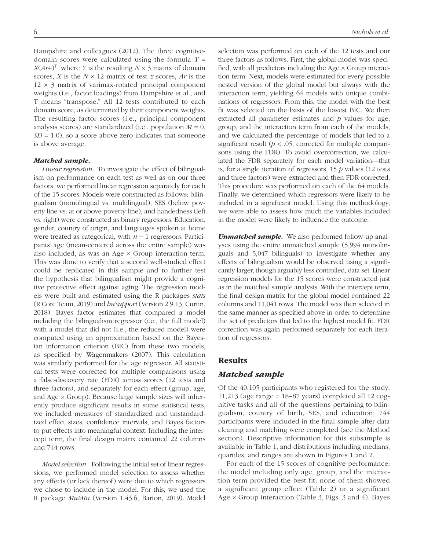Hampshire and colleagues (2012). The three cognitivedomain scores were calculated using the formula  $Y =$  $X(Ar+)$ <sup>T</sup>, where *Y* is the resulting *N* × 3 matrix of domain scores, *X* is the *N* × 12 matrix of test *z* scores, *Ar* is the  $12 \times 3$  matrix of varimax-rotated principal component weights (i.e., factor loadings) from Hampshire et al., and T means "transpose." All 12 tests contributed to each domain score, as determined by their component weights. The resulting factor scores (i.e., principal component analysis scores) are standardized (i.e., population  $M = 0$ ,  $SD = 1.0$ , so a score above zero indicates that someone is above average.

### *Matched sample.*

*Linear regression.* To investigate the effect of bilingualism on performance on each test as well as on our three factors, we performed linear regression separately for each of the 15 scores. Models were constructed as follows: bilingualism (monolingual vs. multilingual), SES (below poverty line vs. at or above poverty line), and handedness (left vs. right) were constructed as binary regressors. Education, gender, country of origin, and languages spoken at home were treated as categorical, with *n* − 1 regressors. Participants' age (mean-centered across the entire sample) was also included, as was an Age × Group interaction term. This was done to verify that a second well-studied effect could be replicated in this sample and to further test the hypothesis that bilingualism might provide a cognitive protective effect against aging. The regression models were built and estimated using the R packages *stats* (R Core Team, 2019) and *lmSupport* (Version 2.9.13; Curtin, 2018). Bayes factor estimates that compared a model including the bilingualism regressor (i.e., the full model) with a model that did not (i.e., the reduced model) were computed using an approximation based on the Bayesian information criterion (BIC) from these two models, as specified by Wagenmakers (2007). This calculation was similarly performed for the age regressor. All statistical tests were corrected for multiple comparisons using a false-discovery rate (FDR) across scores (12 tests and three factors), and separately for each effect (group, age, and Age  $\times$  Group). Because large sample sizes will inherently produce significant results in some statistical tests, we included measures of standardized and unstandardized effect sizes, confidence intervals, and Bayes factors to put effects into meaningful context. Including the intercept term, the final design matrix contained 22 columns and 744 rows.

*Model selection.* Following the initial set of linear regressions, we performed model selection to assess whether any effects (or lack thereof) were due to which regressors we chose to include in the model. For this, we used the R package *MuMIn* (Version 1.43.6; Barton, 2019). Model selection was performed on each of the 12 tests and our three factors as follows. First, the global model was specified, with all predictors including the Age × Group interaction term. Next, models were estimated for every possible nested version of the global model but always with the interaction term, yielding 64 models with unique combinations of regressors. From this, the model with the best fit was selected on the basis of the lowest BIC. We then extracted all parameter estimates and *p* values for age, group, and the interaction term from each of the models, and we calculated the percentage of models that led to a significant result ( $p < .05$ , corrected for multiple comparisons using the FDR). To avoid overcorrection, we calculated the FDR separately for each model variation—that is, for a single iteration of regressors, 15 *p* values (12 tests and three factors) were extracted and then FDR corrected. This procedure was performed on each of the 64 models. Finally, we determined which regressors were likely to be included in a significant model. Using this methodology, we were able to assess how much the variables included in the model were likely to influence the outcome.

*Unmatched sample.* We also performed follow-up analyses using the entire unmatched sample (5,994 monolinguals and 5,047 bilinguals) to investigate whether any effects of bilingualism would be observed using a significantly larger, though arguably less controlled, data set. Linear regression models for the 15 scores were constructed just as in the matched sample analysis. With the intercept term, the final design matrix for the global model contained 22 columns and 11,041 rows. The model was then selected in the same manner as specified above in order to determine the set of predictors that led to the highest model fit. FDR correction was again performed separately for each iteration of regressors.

## **Results**

## *Matched sample*

Of the 40,105 participants who registered for the study, 11,213 (age range =  $18-87$  years) completed all 12 cognitive tasks and all of the questions pertaining to bilingualism, country of birth, SES, and education; 744 participants were included in the final sample after data cleaning and matching were completed (see the Method section). Descriptive information for this subsample is available in Table 1, and distributions including medians, quartiles, and ranges are shown in Figures 1 and 2.

For each of the 15 scores of cognitive performance, the model including only age, group, and the interaction term provided the best fit; none of them showed a significant group effect (Table 2) or a significant Age × Group interaction (Table 3, Figs. 3 and 4). Bayes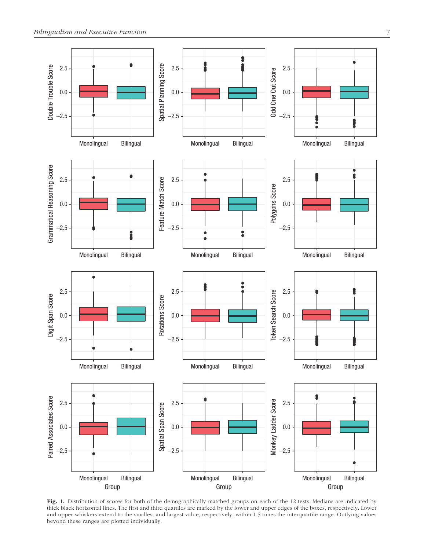

Fig. 1. Distribution of scores for both of the demographically matched groups on each of the 12 tests. Medians are indicated by thick black horizontal lines. The first and third quartiles are marked by the lower and upper edges of the boxes, respectively. Lower and upper whiskers extend to the smallest and largest value, respectively, within 1.5 times the interquartile range. Outlying values beyond these ranges are plotted individually.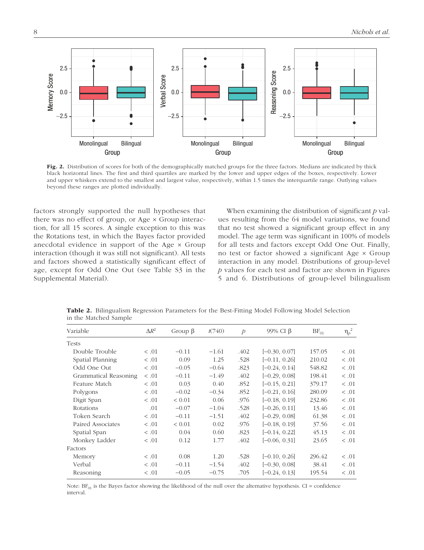

Fig. 2. Distribution of scores for both of the demographically matched groups for the three factors. Medians are indicated by thick black horizontal lines. The first and third quartiles are marked by the lower and upper edges of the boxes, respectively. Lower and upper whiskers extend to the smallest and largest value, respectively, within 1.5 times the interquartile range. Outlying values beyond these ranges are plotted individually.

factors strongly supported the null hypotheses that there was no effect of group, or Age × Group interaction, for all 15 scores. A single exception to this was the Rotations test, in which the Bayes factor provided anecdotal evidence in support of the Age × Group interaction (though it was still not significant). All tests and factors showed a statistically significant effect of age, except for Odd One Out (see Table S3 in the Supplemental Material).

When examining the distribution of significant *p* values resulting from the 64 model variations, we found that no test showed a significant group effect in any model. The age term was significant in 100% of models for all tests and factors except Odd One Out. Finally, no test or factor showed a significant Age × Group interaction in any model. Distributions of group-level *p* values for each test and factor are shown in Figures 5 and 6. Distributions of group-level bilingualism

| Variable              | $\Delta R^2$ | Group $\beta$ | t(740)  | $\mathcal{P}$ | 99% CI $\beta$  | $BF_{01}$ | $\eta_p^2$ |
|-----------------------|--------------|---------------|---------|---------------|-----------------|-----------|------------|
| <b>Tests</b>          |              |               |         |               |                 |           |            |
| Double Trouble        | $\leq .01$   | $-0.11$       | $-1.61$ | .402          | $[-0.30, 0.07]$ | 157.05    | < 0.01     |
| Spatial Planning      | $\leq .01$   | 0.09          | 1.25    | .528          | $[-0.11, 0.26]$ | 210.02    | $\leq .01$ |
| Odd One Out           | $\leq .01$   | $-0.05$       | $-0.64$ | .823          | $[-0.24, 0.14]$ | 548.82    | $\leq .01$ |
| Grammatical Reasoning | < 0.01       | $-0.11$       | $-1.49$ | .402          | $[-0.29, 0.08]$ | 198.41    | $\leq .01$ |
| Feature Match         | < 0.01       | 0.03          | 0.40    | .852          | $[-0.15, 0.21]$ | 379.17    | $\leq .01$ |
| Polygons              | $\leq .01$   | $-0.02$       | $-0.34$ | .852          | $[-0.21, 0.16]$ | 280.09    | $\leq .01$ |
| Digit Span            | < 0.01       | ${}< 0.01$    | 0.06    | .976          | $[-0.18, 0.19]$ | 232.86    | $\leq .01$ |
| Rotations             | .01          | $-0.07$       | $-1.04$ | .528          | $[-0.26, 0.11]$ | 13.46     | $\leq .01$ |
| Token Search          | < 0.01       | $-0.11$       | $-1.51$ | .402          | $[-0.29, 0.08]$ | 61.38     | $\leq .01$ |
| Paired Associates     | < 0.01       | ${}_{0.01}$   | 0.02    | .976          | $[-0.18, 0.19]$ | 37.56     | $\leq .01$ |
| Spatial Span          | < 0.01       | 0.04          | 0.60    | .823          | $[-0.14, 0.22]$ | 45.13     | $\leq .01$ |
| Monkey Ladder         | < 0.01       | 0.12          | 1.77    | .402          | $[-0.06, 0.31]$ | 23.65     | $\leq .01$ |
| Factors               |              |               |         |               |                 |           |            |
| Memory                | < 0.01       | 0.08          | 1.20    | .528          | $[-0.10, 0.26]$ | 296.42    | < 0.01     |
| Verbal                | < 0.01       | $-0.11$       | $-1.54$ | .402          | $[-0.30, 0.08]$ | 38.41     | < 0.01     |
| Reasoning             | < 0.01       | $-0.05$       | $-0.75$ | .705          | $[-0.24, 0.13]$ | 195.54    | $\leq .01$ |

Table 2. Bilingualism Regression Parameters for the Best-Fitting Model Following Model Selection in the Matched Sample

Note:  $BF_{01}$  is the Bayes factor showing the likelihood of the null over the alternative hypothesis. CI = confidence interval.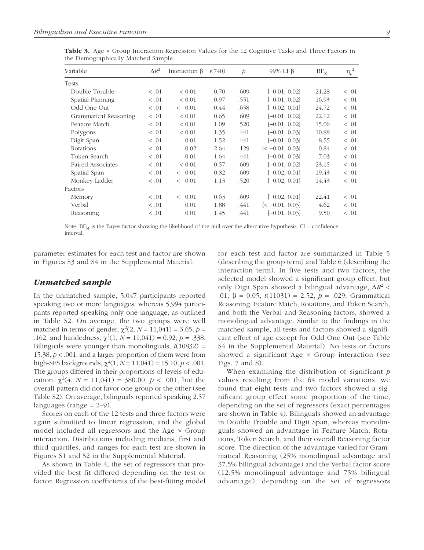| Variable              | $\Delta R^2$ | Interaction $\beta$ | t(740)  | $\mathcal{P}$ | 99% CI B        | $BF_{01}$ | $\eta_p^2$ |
|-----------------------|--------------|---------------------|---------|---------------|-----------------|-----------|------------|
| <b>Tests</b>          |              |                     |         |               |                 |           |            |
| Double Trouble        | $\leq .01$   | ${}_{0.01}$         | 0.70    | .609          | $[-0.01, 0.02]$ | 21.28     | $\leq .01$ |
| Spatial Planning      | $\leq .01$   | < 0.01              | 0.97    | .551          | $[-0.01, 0.02]$ | 16.93     | $\leq .01$ |
| Odd One Out           | < 0.01       | $<-0.01$            | $-0.44$ | .658          | $[-0.02, 0.01]$ | 24.72     | $\leq .01$ |
| Grammatical Reasoning | < 0.01       | ${}_{0.01}$         | 0.65    | .609          | $[-0.01, 0.02]$ | 22.12     | < 0.01     |
| Feature Match         | < 0.01       | < 0.01              | 1.09    | .520          | $[-0.01, 0.02]$ | 15.06     | $\leq .01$ |
| Polygons              | < 0.01       | ${}< 0.01$          | 1.35    | .441          | $[-0.01, 0.03]$ | 10.88     | < 0.01     |
| Digit Span            | < 0.01       | 0.01                | 1.52    | .441          | $[-0.01, 0.03]$ | 8.55      | $\leq .01$ |
| Rotations             | < .01        | 0.02                | 2.64    | .129          | $[-0.01, 0.03]$ | 0.84      | < 0.01     |
| Token Search          | < 0.01       | 0.01                | 1.64    | .441          | $[-0.01, 0.03]$ | 7.03      | < 0.01     |
| Paired Associates     | < 0.01       | ${}< 0.01$          | 0.57    | .609          | $[-0.01, 0.02]$ | 23.15     | < 0.01     |
| Spatial Span          | < 0.01       | $<-0.01$            | $-0.82$ | .609          | $[-0.02, 0.01]$ | 19.43     | < 0.01     |
| Monkey Ladder         | < 0.01       | $<-0.01$            | $-1.13$ | .520          | $[-0.02, 0.01]$ | 14.43     | < 0.01     |
| Factors               |              |                     |         |               |                 |           |            |
| Memory                | < 0.01       | $<-0.01$            | $-0.63$ | .609          | $[-0.02, 0.01]$ | 22.41     | $\leq .01$ |
| Verbal                | < 0.01       | 0.01                | 1.88    | .441          | $[-0.01, 0.03]$ | 4.62      | $\leq .01$ |
| Reasoning             | < 0.01       | 0.01                | 1.45    | .441          | $[-0.01, 0.03]$ | 9.50      | $\leq .01$ |

Table 3. Age x Group Interaction Regression Values for the 12 Cognitive Tasks and Three Factors in the Demographically Matched Sample

Note:  $BF_{01}$  is the Bayes factor showing the likelihood of the null over the alternative hypothesis. CI = confidence interval.

parameter estimates for each test and factor are shown in Figures S3 and S4 in the Supplemental Material.

## *Unmatched sample*

In the unmatched sample, 5,047 participants reported speaking two or more languages, whereas 5,994 participants reported speaking only one language, as outlined in Table S2. On average, the two groups were well matched in terms of gender,  $\chi^2(2, N = 11,041) = 3.65, p =$ .162, and handedness,  $\chi^2(1, N = 11,041) = 0.92$ ,  $p = .338$ . Bilinguals were younger than monolinguals,  $t(10832)$  = 15.38, *p* < .001, and a larger proportion of them were from high-SES backgrounds,  $\chi^2(1, N = 11,041) = 15.10, p < .001$ . The groups differed in their proportions of levels of education,  $\chi^2(4, N = 11,041) = 380.00, p < .001$ , but the overall pattern did not favor one group or the other (see Table S2). On average, bilinguals reported speaking 2.57 languages (range  $= 2-9$ ).

Scores on each of the 12 tests and three factors were again submitted to linear regression, and the global model included all regressors and the Age  $\times$  Group interaction. Distributions including medians, first and third quartiles, and ranges for each test are shown in Figures S1 and S2 in the Supplemental Material.

As shown in Table 4, the set of regressors that provided the best fit differed depending on the test or factor. Regression coefficients of the best-fitting model for each test and factor are summarized in Table 5 (describing the group term) and Table 6 (describing the interaction term). In five tests and two factors, the selected model showed a significant group effect, but only Digit Span showed a bilingual advantage, Δ*R*<sup>2</sup> < .01, β = 0.05, *t*(11031) = 2.52, *p* = .029; Grammatical Reasoning, Feature Match, Rotations, and Token Search, and both the Verbal and Reasoning factors, showed a monolingual advantage. Similar to the findings in the matched sample, all tests and factors showed a significant effect of age except for Odd One Out (see Table S4 in the Supplemental Material). No tests or factors showed a significant Age  $\times$  Group interaction (see Figs. 7 and 8).

When examining the distribution of significant *p* values resulting from the 64 model variations, we found that eight tests and two factors showed a significant group effect some proportion of the time, depending on the set of regressors (exact percentages are shown in Table 4). Bilinguals showed an advantage in Double Trouble and Digit Span, whereas monolinguals showed an advantage in Feature Match, Rotations, Token Search, and their overall Reasoning factor score. The direction of the advantage varied for Grammatical Reasoning (25% monolingual advantage and 37.5% bilingual advantage) and the Verbal factor score (12.5% monolingual advantage and 75% bilingual advantage), depending on the set of regressors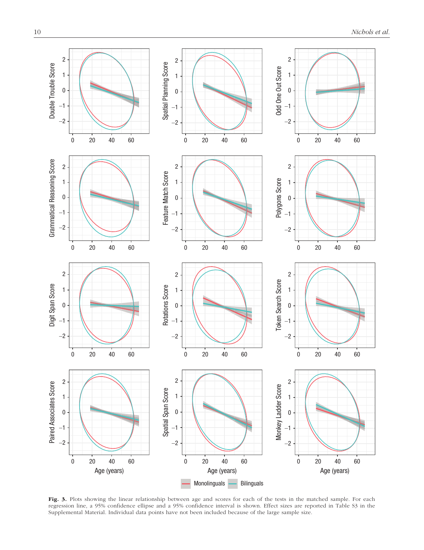

Fig. 3. Plots showing the linear relationship between age and scores for each of the tests in the matched sample. For each regression line, a 95% confidence ellipse and a 95% confidence interval is shown. Effect sizes are reported in Table S3 in the Supplemental Material. Individual data points have not been included because of the large sample size.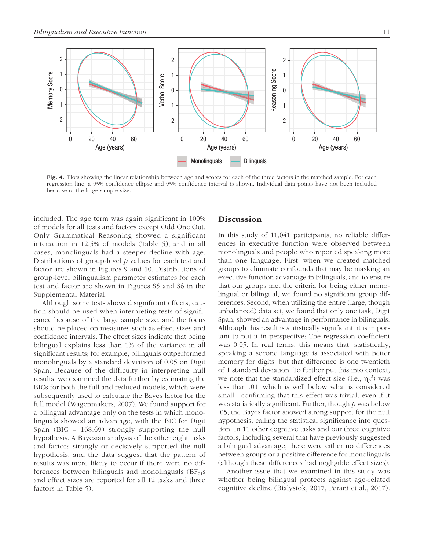

Fig. 4. Plots showing the linear relationship between age and scores for each of the three factors in the matched sample. For each regression line, a 95% confidence ellipse and 95% confidence interval is shown. Individual data points have not been included because of the large sample size.

included. The age term was again significant in 100% of models for all tests and factors except Odd One Out. Only Grammatical Reasoning showed a significant interaction in 12.5% of models (Table 5), and in all cases, monolinguals had a steeper decline with age. Distributions of group-level *p* values for each test and factor are shown in Figures 9 and 10. Distributions of group-level bilingualism parameter estimates for each test and factor are shown in Figures S5 and S6 in the Supplemental Material.

Although some tests showed significant effects, caution should be used when interpreting tests of significance because of the large sample size, and the focus should be placed on measures such as effect sizes and confidence intervals. The effect sizes indicate that being bilingual explains less than 1% of the variance in all significant results; for example, bilinguals outperformed monolinguals by a standard deviation of 0.05 on Digit Span. Because of the difficulty in interpreting null results, we examined the data further by estimating the BICs for both the full and reduced models, which were subsequently used to calculate the Bayes factor for the full model (Wagenmakers, 2007). We found support for a bilingual advantage only on the tests in which monolinguals showed an advantage, with the BIC for Digit Span (BIC = 168.69) strongly supporting the null hypothesis. A Bayesian analysis of the other eight tasks and factors strongly or decisively supported the null hypothesis, and the data suggest that the pattern of results was more likely to occur if there were no differences between bilinguals and monolinguals ( $BF_{01}s$ and effect sizes are reported for all 12 tasks and three factors in Table 5).

## **Discussion**

In this study of 11,041 participants, no reliable differences in executive function were observed between monolinguals and people who reported speaking more than one language. First, when we created matched groups to eliminate confounds that may be masking an executive function advantage in bilinguals, and to ensure that our groups met the criteria for being either monolingual or bilingual, we found no significant group differences. Second, when utilizing the entire (large, though unbalanced) data set, we found that only one task, Digit Span, showed an advantage in performance in bilinguals. Although this result is statistically significant, it is important to put it in perspective: The regression coefficient was 0.05. In real terms, this means that, statistically, speaking a second language is associated with better memory for digits, but that difference is one twentieth of 1 standard deviation. To further put this into context, we note that the standardized effect size (i.e.,  $\eta_p^2$ ) was less than .01, which is well below what is considered small—confirming that this effect was trivial, even if it was statistically significant. Further, though *p* was below .05, the Bayes factor showed strong support for the null hypothesis, calling the statistical significance into question. In 11 other cognitive tasks and our three cognitive factors, including several that have previously suggested a bilingual advantage, there were either no differences between groups or a positive difference for monolinguals (although these differences had negligible effect sizes).

Another issue that we examined in this study was whether being bilingual protects against age-related cognitive decline (Bialystok, 2017; Perani et al., 2017).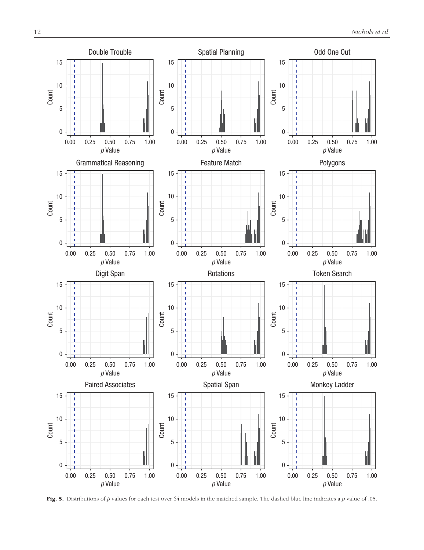

Fig. 5. Distributions of *p* values for each test over 64 models in the matched sample. The dashed blue line indicates a *p* value of .05.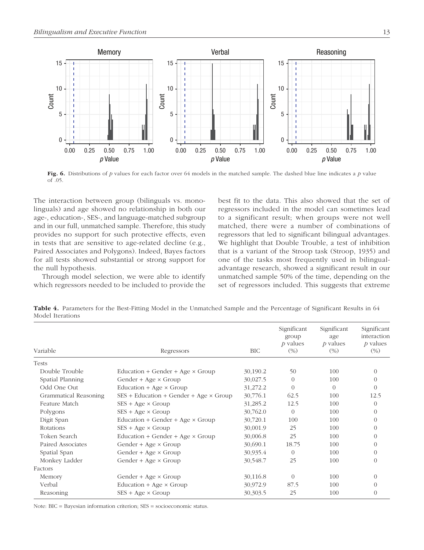

Fig. 6. Distributions of *p* values for each factor over 64 models in the matched sample. The dashed blue line indicates a *p* value of .05.

The interaction between group (bilinguals vs. monolinguals) and age showed no relationship in both our age-, education-, SES-, and language-matched subgroup and in our full, unmatched sample. Therefore, this study provides no support for such protective effects, even in tests that are sensitive to age-related decline (e.g., Paired Associates and Polygons). Indeed, Bayes factors for all tests showed substantial or strong support for the null hypothesis.

Through model selection, we were able to identify which regressors needed to be included to provide the best fit to the data. This also showed that the set of regressors included in the model can sometimes lead to a significant result; when groups were not well matched, there were a number of combinations of regressors that led to significant bilingual advantages. We highlight that Double Trouble, a test of inhibition that is a variant of the Stroop task (Stroop, 1935) and one of the tasks most frequently used in bilingualadvantage research, showed a significant result in our unmatched sample 50% of the time, depending on the set of regressors included. This suggests that extreme

Table 4. Parameters for the Best-Fitting Model in the Unmatched Sample and the Percentage of Significant Results in 64 Model Iterations

|                       |                                            |          | Significant<br>group | Significant<br>age   | Significant<br>interaction |  |
|-----------------------|--------------------------------------------|----------|----------------------|----------------------|----------------------------|--|
| Variable              | Regressors                                 | BIC      | p values<br>$(\%)$   | $p$ values<br>$(\%)$ | $p$ values<br>$(\%)$       |  |
| Tests                 |                                            |          |                      |                      |                            |  |
| Double Trouble        | Education + Gender + Age $\times$ Group    | 30,190.2 | 50                   | 100                  | $\Omega$                   |  |
| Spatial Planning      | Gender + Age $\times$ Group                | 30,027.5 | $\theta$             | 100                  | $\Omega$                   |  |
| Odd One Out           | Education $+$ Age $\times$ Group           | 31,272.2 | $\theta$             | $\Omega$             | $\Omega$                   |  |
| Grammatical Reasoning | $SES + Education +cdot + Age \times Group$ | 30,776.1 | 62.5                 | 100                  | 12.5                       |  |
| Feature Match         | $SES + Age \times Group$                   | 31,285.2 | 12.5                 | 100                  | $\theta$                   |  |
| Polygons              | $SES + Age \times Group$                   | 30,762.0 | $\theta$             | 100                  | $\Omega$                   |  |
| Digit Span            | Education + Gender + Age $\times$ Group    | 30,720.1 | 100                  | 100                  | $\Omega$                   |  |
| Rotations             | $SES + Age \times Group$                   | 30,001.9 | 25                   | 100                  | $\Omega$                   |  |
| Token Search          | Education + Gender + Age $\times$ Group    | 30,006.8 | 25                   | 100                  | $\Omega$                   |  |
| Paired Associates     | Gender + Age $\times$ Group                | 30,690.1 | 18.75                | 100                  | $\Omega$                   |  |
| Spatial Span          | Gender + Age $\times$ Group                | 30,935.4 | $\theta$             | 100                  | $\Omega$                   |  |
| Monkey Ladder         | Gender + Age $\times$ Group                | 30,548.7 | 25                   | 100                  | $\Omega$                   |  |
| Factors               |                                            |          |                      |                      |                            |  |
| Memory                | Gender + Age $\times$ Group                | 30,116.8 | $\theta$             | 100                  | $\Omega$                   |  |
| Verbal                | Education + Age $\times$ Group             | 30,972.9 | 87.5                 | 100                  | $\Omega$                   |  |
| Reasoning             | $SES + Age \times Group$                   | 30,303.5 | 25                   | 100                  | $\theta$                   |  |

Note: BIC = Bayesian information criterion; SES = socioeconomic status.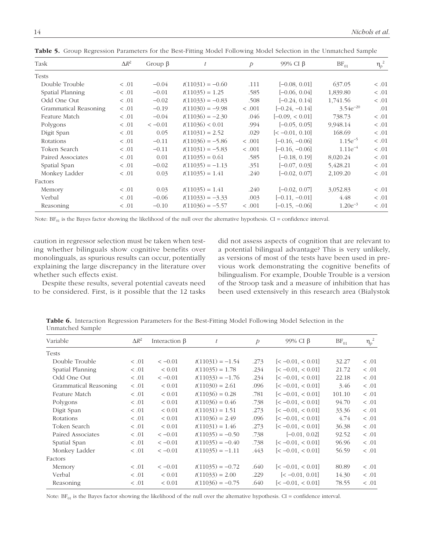| Task                  | $\Delta R^2$ | Group $\beta$ |                    | $\overline{p}$ | 99% CI $\beta$     | $BF_{01}$     | $\eta_p^2$ |
|-----------------------|--------------|---------------|--------------------|----------------|--------------------|---------------|------------|
| Tests                 |              |               |                    |                |                    |               |            |
| Double Trouble        | < 0.01       | $-0.04$       | $t(11031) = -0.60$ | .111           | $[-0.08, 0.01]$    | 637.05        | < 0.01     |
| Spatial Planning      | < 0.01       | $-0.01$       | $t(11035) = 1.25$  | .585           | $[-0.06, 0.04]$    | 1,839.80      | < 0.01     |
| Odd One Out           | < 0.01       | $-0.02$       | $t(11033) = -0.83$ | .508           | $[-0.24, 0.14]$    | 1,741.56      | < 0.01     |
| Grammatical Reasoning | < 0.01       | $-0.19$       | $t(11030) = -9.98$ | < .001         | $[-0.24, -0.14]$   | $3.54e^{-20}$ | .01        |
| Feature Match         | < 0.01       | $-0.04$       | $t(11036) = -2.30$ | .046           | $[-0.09, < 0.01]$  | 738.73        | $\leq .01$ |
| Polygons              | < 0.01       | $<-0.01$      | t(11036) < 0.01    | .994           | $[-0.05, 0.05]$    | 9,948.14      | < 0.01     |
| Digit Span            | < 0.01       | 0.05          | $t(11031) = 2.52$  | .029           | $\leq -0.01, 0.10$ | 168.69        | $\leq .01$ |
| Rotations             | < 0.01       | $-0.11$       | $t(11036) = -5.86$ | < .001         | $[-0.16, -0.06]$   | $1.15e^{-5}$  | < 0.01     |
| Token Search          | < 0.01       | $-0.11$       | $t(11031) = -5.83$ | < 0.001        | $[-0.16, -0.06]$   | $1.11e^{-4}$  | < 0.01     |
| Paired Associates     | < 0.01       | 0.01          | $t(11035) = 0.61$  | .585           | $[-0.18, 0.19]$    | 8,020.24      | < 0.01     |
| Spatial Span          | $\leq .01$   | $-0.02$       | $t(11035) = -1.13$ | .351           | $[-0.07, 0.03]$    | 5,428.21      | $\leq .01$ |
| Monkey Ladder         | < 0.01       | 0.03          | $t(11035) = 1.41$  | .240           | $[-0.02, 0.07]$    | 2,109.20      | $\leq .01$ |
| Factors               |              |               |                    |                |                    |               |            |
| Memory                | $\leq .01$   | 0.03          | $t(11035) = 1.41$  | .240           | $[-0.02, 0.07]$    | 3,052.83      | < 0.01     |
| Verbal                | $\leq .01$   | $-0.06$       | $t(11033) = -3.33$ | .003           | $[-0.11, -0.01]$   | 4.48          | < 0.01     |
| Reasoning             | $\leq .01$   | $-0.10$       | $t(11036) = -5.57$ | < .001         | $[-0.15, -0.06]$   | $1.20e^{-3}$  | $\leq .01$ |

Table 5. Group Regression Parameters for the Best-Fitting Model Following Model Selection in the Unmatched Sample

Note:  $BF_{01}$  is the Bayes factor showing the likelihood of the null over the alternative hypothesis. CI = confidence interval.

caution in regressor selection must be taken when testing whether bilinguals show cognitive benefits over monolinguals, as spurious results can occur, potentially explaining the large discrepancy in the literature over whether such effects exist.

Despite these results, several potential caveats need to be considered. First, is it possible that the 12 tasks did not assess aspects of cognition that are relevant to a potential bilingual advantage? This is very unlikely, as versions of most of the tests have been used in previous work demonstrating the cognitive benefits of bilingualism. For example, Double Trouble is a version of the Stroop task and a measure of inhibition that has been used extensively in this research area (Bialystok

Table 6. Interaction Regression Parameters for the Best-Fitting Model Following Model Selection in the Unmatched Sample

| Variable              | $\Delta R^2$ | Interaction $\beta$ | $\boldsymbol{t}$   | $\overline{p}$ | 99% CI β                               | $BF_{01}$ | $\eta_p^2$ |
|-----------------------|--------------|---------------------|--------------------|----------------|----------------------------------------|-----------|------------|
| <b>Tests</b>          |              |                     |                    |                |                                        |           |            |
| Double Trouble        | $\leq .01$   | $<-0.01$            | $t(11031) = -1.54$ | .273           | $\left[ < -0.01, < 0.01 \right]$       | 32.27     | $\leq .01$ |
| Spatial Planning      | $\leq .01$   | ${}_{0.01}$         | $t(11035) = 1.78$  | .234           | $\left[ < -0.01, < 0.01 \right]$       | 21.72     | $\leq .01$ |
| Odd One Out           | $\leq .01$   | $<-0.01$            | $t(11033) = -1.76$ | .234           | $\left[ < -0.01, < 0.01 \right]$       | 22.18     | < .01      |
| Grammatical Reasoning | $\leq .01$   | < 0.01              | $t(11030) = 2.61$  | .096           | $\left[ < -0.01, < 0.01 \right]$       | 3.46      | $\leq .01$ |
| Feature Match         | < 0.01       | < 0.01              | $t(11036) = 0.28$  | .781           | $\left[ < -0.01, < 0.01 \right]$       | 101.10    | $\leq .01$ |
| Polygons              | $\leq .01$   | < 0.01              | $t(11036) = 0.46$  | .738           | $\left[ < -0.01, < 0.01 \right]$       | 94.70     | $\leq .01$ |
| Digit Span            | $\leq .01$   | < 0.01              | $t(11031) = 1.51$  | .273           | $\leq -0.01, \leq 0.01$                | 33.36     | < 0.01     |
| Rotations             | $\leq .01$   | < 0.01              | $t(11036) = 2.49$  | .096           | $\left[ < -0.01, < 0.01 \right]$       | 4.74      | $\leq .01$ |
| Token Search          | $\leq .01$   | ${}_{0.01}$         | $t(11031) = 1.46$  | .273           | $\left[ < -0.01, < 0.01 \right]$       | 36.38     | < 0.01     |
| Paired Associates     | $\leq .01$   | $<-0.01$            | $t(11035) = -0.50$ | .738           | $[-0.01, 0.02]$                        | 92.52     | < 0.01     |
| Spatial Span          | $\leq .01$   | $<-0.01$            | $t(11035) = -0.40$ | .738           | $\left[ < -0.01, < 0.01 \right]$       | 96.96     | < 0.01     |
| Monkey Ladder         | $\leq .01$   | $<-0.01$            | $t(11035) = -1.11$ | .443           | $\left[ < -0.01, < 0.01 \right]$       | 56.59     | $\leq .01$ |
| Factors               |              |                     |                    |                |                                        |           |            |
| Memory                | $\leq .01$   | $<-0.01$            | $t(11035) = -0.72$ | .640           | $\left[ < -0.01, < 0.01 \right]$       | 80.89     | $\leq .01$ |
| Verbal                | $\leq .01$   | < 0.01              | $t(11033) = 2.00$  | .229           | $\left[ \right. < -0.01, 0.01 \right]$ | 14.30     | < 0.01     |
| Reasoning             | $\leq .01$   | < 0.01              | $t(11036) = -0.75$ | .640           | $\left[ < -0.01, < 0.01 \right]$       | 78.55     | < 0.01     |

Note:  $BF_{01}$  is the Bayes factor showing the likelihood of the null over the alternative hypothesis. CI = confidence interval.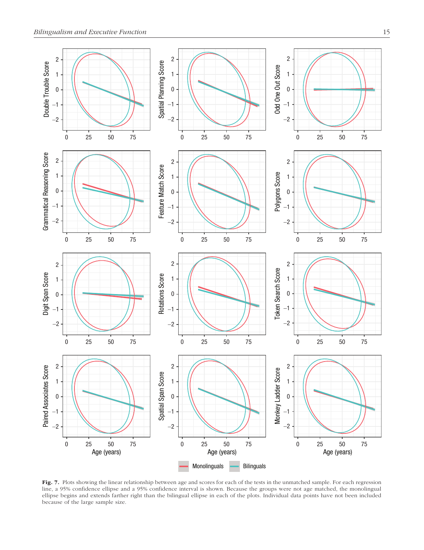

Fig. 7. Plots showing the linear relationship between age and scores for each of the tests in the unmatched sample. For each regression line, a 95% confidence ellipse and a 95% confidence interval is shown. Because the groups were not age matched, the monolingual ellipse begins and extends farther right than the bilingual ellipse in each of the plots. Individual data points have not been included because of the large sample size.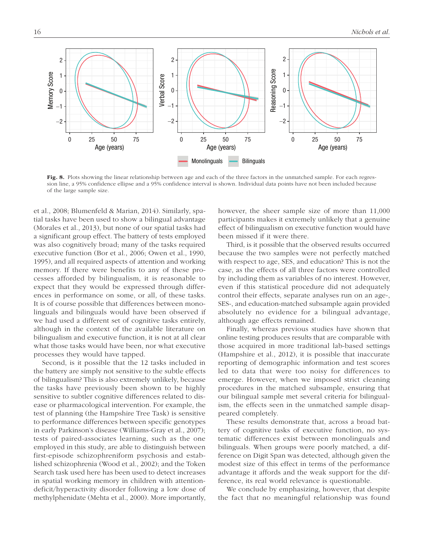

Fig. 8. Plots showing the linear relationship between age and each of the three factors in the unmatched sample. For each regression line, a 95% confidence ellipse and a 95% confidence interval is shown. Individual data points have not been included because of the large sample size.

et al., 2008; Blumenfeld & Marian, 2014). Similarly, spatial tasks have been used to show a bilingual advantage (Morales et al., 2013), but none of our spatial tasks had a significant group effect. The battery of tests employed was also cognitively broad; many of the tasks required executive function (Bor et al., 2006; Owen et al., 1990, 1995), and all required aspects of attention and working memory. If there were benefits to any of these processes afforded by bilingualism, it is reasonable to expect that they would be expressed through differences in performance on some, or all, of these tasks. It is of course possible that differences between monolinguals and bilinguals would have been observed if we had used a different set of cognitive tasks entirely, although in the context of the available literature on bilingualism and executive function, it is not at all clear what those tasks would have been, nor what executive processes they would have tapped.

Second, is it possible that the 12 tasks included in the battery are simply not sensitive to the subtle effects of bilingualism? This is also extremely unlikely, because the tasks have previously been shown to be highly sensitive to subtler cognitive differences related to disease or pharmacological intervention. For example, the test of planning (the Hampshire Tree Task) is sensitive to performance differences between specific genotypes in early Parkinson's disease (Williams-Gray et al., 2007); tests of paired-associates learning, such as the one employed in this study, are able to distinguish between first-episode schizophreniform psychosis and established schizophrenia (Wood et al., 2002); and the Token Search task used here has been used to detect increases in spatial working memory in children with attentiondeficit/hyperactivity disorder following a low dose of methylphenidate (Mehta et al., 2000). More importantly, however, the sheer sample size of more than 11,000 participants makes it extremely unlikely that a genuine effect of bilingualism on executive function would have been missed if it were there.

Third, is it possible that the observed results occurred because the two samples were not perfectly matched with respect to age, SES, and education? This is not the case, as the effects of all three factors were controlled by including them as variables of no interest. However, even if this statistical procedure did not adequately control their effects, separate analyses run on an age-, SES-, and education-matched subsample again provided absolutely no evidence for a bilingual advantage, although age effects remained.

Finally, whereas previous studies have shown that online testing produces results that are comparable with those acquired in more traditional lab-based settings (Hampshire et al., 2012), it is possible that inaccurate reporting of demographic information and test scores led to data that were too noisy for differences to emerge. However, when we imposed strict cleaning procedures in the matched subsample, ensuring that our bilingual sample met several criteria for bilingualism, the effects seen in the unmatched sample disappeared completely.

These results demonstrate that, across a broad battery of cognitive tasks of executive function, no systematic differences exist between monolinguals and bilinguals. When groups were poorly matched, a difference on Digit Span was detected, although given the modest size of this effect in terms of the performance advantage it affords and the weak support for the difference, its real world relevance is questionable.

We conclude by emphasizing, however, that despite the fact that no meaningful relationship was found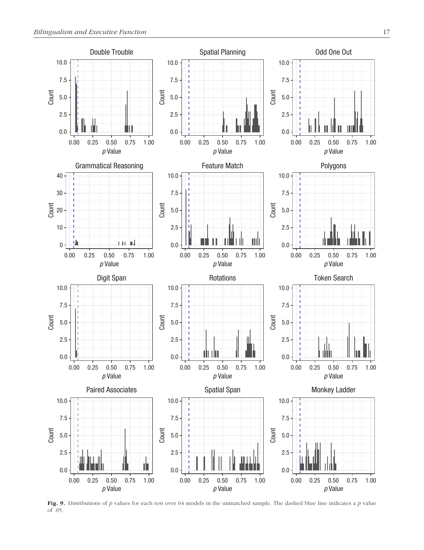

Fig. 9. Distributions of *p* values for each test over 64 models in the unmatched sample. The dashed blue line indicates a *p* value of .05.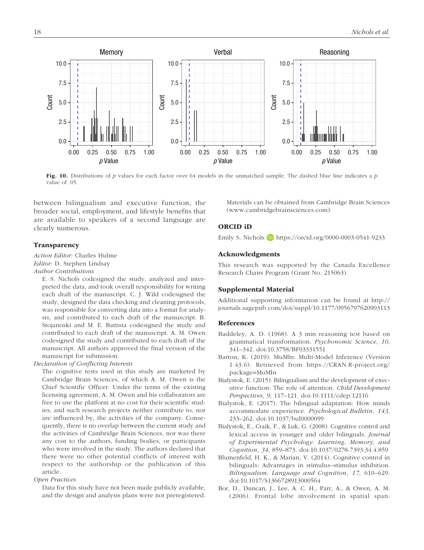

Fig. 10. Distributions of *p* values for each factor over 64 models in the unmatched sample. The dashed blue line indicates a *p* value of .05.

between bilingualism and executive function, the broader social, employment, and lifestyle benefits that are available to speakers of a second language are clearly numerous.

### **Transparency**

*Action Editor:* Charles Hulme *Editor:* D. Stephen Lindsay *Author Contributions*

E. S. Nichols codesigned the study, analyzed and interpreted the data, and took overall responsibility for writing each draft of the manuscript. C. J. Wild codesigned the study, designed the data checking and cleaning protocols, was responsible for converting data into a format for analysis, and contributed to each draft of the manuscript. B. Stojanoski and M. E. Battista codesigned the study and contributed to each draft of the manuscript. A. M. Owen codesigned the study and contributed to each draft of the manuscript. All authors approved the final version of the manuscript for submission.

#### *Declaration of Conflicting Interests*

The cognitive tests used in this study are marketed by Cambridge Brain Sciences, of which A. M. Owen is the Chief Scientific Officer. Under the terms of the existing licensing agreement, A. M. Owen and his collaborators are free to use the platform at no cost for their scientific studies, and such research projects neither contribute to, nor are influenced by, the activities of the company. Consequently, there is no overlap between the current study and the activities of Cambridge Brain Sciences, nor was there any cost to the authors, funding bodies, or participants who were involved in the study. The authors declared that there were no other potential conflicts of interest with respect to the authorship or the publication of this article.

#### *Open Practices*

Data for this study have not been made publicly available, and the design and analysis plans were not preregistered. Materials can be obtained from Cambridge Brain Sciences (<www.cambridgebrainsciences.com>).

#### ORCID iD

Emily S. Nichols **D** <https://orcid.org/0000-0003-0541-9233>

#### Acknowledgments

This research was supported by the Canada Excellence Research Chairs Program (Grant No. 215063).

## Supplemental Material

Additional supporting information can be found at [http://](http://journals.sagepub.com/doi/suppl/10.1177/0956797620903113) [journals.sagepub.com/doi/suppl/10.1177/0956797620903113](http://journals.sagepub.com/doi/suppl/10.1177/0956797620903113)

### References

- Baddeley, A. D. (1968). A 3 min reasoning test based on grammatical transformation. *Psychonomic Science*, *10*, 341–342. doi:10.3758/BF03331551
- Barton, K. (2019). MuMIn: Multi-Model Inference (Version 1.43.6). Retrieved from [https://CRAN.R-project.org/](https://CRAN.R-project.org/package=MuMIn) [package=MuMIn](https://CRAN.R-project.org/package=MuMIn)
- Bialystok, E. (2015). Bilingualism and the development of executive function: The role of attention. *Child Development Perspectives*, *9*, 117–121. doi:10.1111/cdep.12116
- Bialystok, E. (2017). The bilingual adaptation: How minds accommodate experience. *Psychological Bulletin*, *143*, 233–262. doi:10.1037/bul0000099
- Bialystok, E., Craik, F., & Luk, G. (2008). Cognitive control and lexical access in younger and older bilinguals. *Journal of Experimental Psychology: Learning, Memory, and Cognition*, *34*, 859–873. doi:10.1037/0278-7393.34.4.859
- Blumenfeld, H. K., & Marian, V. (2014). Cognitive control in bilinguals: Advantages in stimulus–stimulus inhibition. *Bilingualism: Language and Cognition*, *17*, 610–629. doi:10.1017/S1366728913000564
- Bor, D., Duncan, J., Lee, A. C. H., Parr, A., & Owen, A. M. (2006). Frontal lobe involvement in spatial span: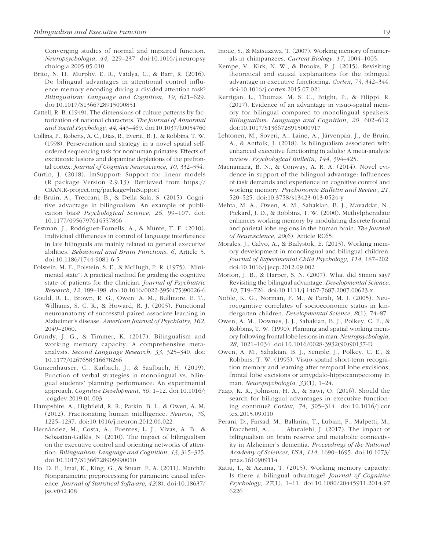Converging studies of normal and impaired function. *Neuropsychologia*, *44*, 229–237. doi:10.1016/j.neuropsy chologia.2005.05.010

- Brito, N. H., Murphy, E. R., Vaidya, C., & Barr, R. (2016). Do bilingual advantages in attentional control influence memory encoding during a divided attention task? *Bilingualism: Language and Cognition*, *19*, 621–629. doi:10.1017/S1366728915000851
- Cattell, R. B. (1949). The dimensions of culture patterns by factorization of national characters. *The Journal of Abnormal and Social Psychology*, *44*, 443–469. doi:10.1037/h0054760
- Collins, P., Roberts, A. C., Dias, R., Everitt, B. J., & Robbins, T. W. (1998). Perseveration and strategy in a novel spatial selfordered sequencing task for nonhuman primates: Effects of excitotoxic lesions and dopamine depletions of the prefrontal cortex. *Journal of Cognitive Neuroscience*, *10*, 332–354.
- Curtin, J. (2018). lmSupport: Support for linear models (R package Version 2.9.13). Retrieved from [https://](https://CRAN.R-project.org/package=lmSupport) [CRAN.R-project.org/package=lmSupport](https://CRAN.R-project.org/package=lmSupport)
- de Bruin, A., Treccani, B., & Della Sala, S. (2015). Cognitive advantage in bilingualism: An example of publication bias? *Psychological Science*, *26*, 99–107. doi: 10.1177/0956797614557866
- Festman, J., Rodriguez-Fornells, A., & Münte, T. F. (2010). Individual differences in control of language interference in late bilinguals are mainly related to general executive abilities. *Behavioral and Brain Functions*, *6*, Article 5. doi:10.1186/1744-9081-6-5
- Folstein, M. F., Folstein, S. E., & McHugh, P. R. (1975). "Minimental state": A practical method for grading the cognitive state of patients for the clinician. *Journal of Psychiatric Research*, *12*, 189–198. doi:10.1016/0022-3956(75)90026-6
- Gould, R. L., Brown, R. G., Owen, A. M., Bullmore, E. T., Williams, S. C. R., & Howard, R. J. (2005). Functional neuroanatomy of successful paired associate learning in Alzheimer's disease. *American Journal of Psychiatry*, *162*, 2049–2060.
- Grundy, J. G., & Timmer, K. (2017). Bilingualism and working memory capacity: A comprehensive metaanalysis. *Second Language Research*, *33*, 325–340. doi: 10.1177/0267658316678286
- Gunzenhauser, C., Karbach, J., & Saalbach, H. (2019). Function of verbal strategies in monolingual vs. bilingual students' planning performance: An experimental approach. *Cognitive Development*, *50*, 1–12. doi:10.1016/j .cogdev.2019.01.003
- Hampshire, A., Highfield, R. R., Parkin, B. L., & Owen, A. M. (2012). Fractionating human intelligence. *Neuron*, *76*, 1225–1237. doi:10.1016/j.neuron.2012.06.022
- Hernández, M., Costa, A., Fuentes, L. J., Vivas, A. B., & Sebastián-Gallés, N. (2010). The impact of bilingualism on the executive control and orienting networks of attention. *Bilingualism: Language and Cognition*, *13*, 315–325. doi:10.1017/S1366728909990010
- Ho, D. E., Imai, K., King, G., & Stuart, E. A. (2011). MatchIt: Nonparametric preprocessing for parametric causal inference. *Journal of Statistical Software*, *42*(8). doi:10.18637/ jss.v042.i08
- Inoue, S., & Matsuzawa, T. (2007). Working memory of numerals in chimpanzees. *Current Biology*, *17*, 1004–1005.
- Kempe, V., Kirk, N. W., & Brooks, P. J. (2015). Revisiting theoretical and causal explanations for the bilingual advantage in executive functioning. *Cortex*, *73*, 342–344. doi:10.1016/j.cortex.2015.07.021
- Kerrigan, L., Thomas, M. S. C., Bright, P., & Filippi, R. (2017). Evidence of an advantage in visuo-spatial memory for bilingual compared to monolingual speakers. *Bilingualism: Language and Cognition*, *20*, 602–612. doi:10.1017/S1366728915000917
- Lehtonen, M., Soveri, A., Laine, A., Järvenpää, J., de Bruin, A., & Antfolk, J. (2018). Is bilingualism associated with enhanced executive functioning in adults? A meta-analytic review. *Psychological Bulletin*, *144*, 394–425.
- Macnamara, B. N., & Conway, A. R. A. (2014). Novel evidence in support of the bilingual advantage: Influences of task demands and experience on cognitive control and working memory. *Psychonomic Bulletin and Review*, *21*, 520–525. doi:10.3758/s13423-013-0524-y
- Mehta, M. A., Owen, A. M., Sahakian, B. J., Mavaddat, N., Pickard, J. D., & Robbins, T. W. (2000). Methylphenidate enhances working memory by modulating discrete frontal and parietal lobe regions in the human brain. *The Journal of Neuroscience*, *20*(6), Article RC65.
- Morales, J., Calvo, A., & Bialystok, E. (2013). Working memory development in monolingual and bilingual children. *Journal of Experimental Child Psychology*, *114*, 187–202. doi:10.1016/j.jecp.2012.09.002
- Morton, J. B., & Harper, S. N. (2007). What did Simon say? Revisiting the bilingual advantage. *Developmental Science*, *10*, 719–726. doi:10.1111/j.1467-7687.2007.00623.x
- Noble, K. G., Norman, F. M., & Farah, M. J. (2005). Neurocognitive correlates of socioeconomic status in kindergarten children. *Developmental Science*, *8*(1), 74–87.
- Owen, A. M., Downes, J. J., Sahakian, B. J., Polkey, C. E., & Robbins, T. W. (1990). Planning and spatial working memory following frontal lobe lesions in man. *Neuropsychologia*, *28*, 1021–1034. doi:10.1016/0028-3932(90)90137-D
- Owen, A. M., Sahakian, B. J., Semple, J., Polkey, C. E., & Robbins, T. W. (1995). Visuo-spatial short-term recognition memory and learning after temporal lobe excisions, frontal lobe excisions or amygdalo-hippocampectomy in man. *Neuropsychologia*, *33*(1), 1–24.
- Paap, K. R., Johnson, H. A., & Sawi, O. (2016). Should the search for bilingual advantages in executive functioning continue? *Cortex*, *74*, 305–314. doi:10.1016/j.cor tex.2015.09.010
- Perani, D., Farsad, M., Ballarini, T., Lubian, F., Malpetti, M., Fracchetti, A., . . . Abutalebi, J. (2017). The impact of bilingualism on brain reserve and metabolic connectivity in Alzheimer's dementia. *Proceedings of the National Academy of Sciences, USA*, *114*, 1690–1695. doi:10.1073/ pnas.1610909114
- Ratiu, I., & Azuma, T. (2015). Working memory capacity: Is there a bilingual advantage? *Journal of Cognitive Psychology*, *27*(1), 1–11. doi:10.1080/20445911.2014.97 6226